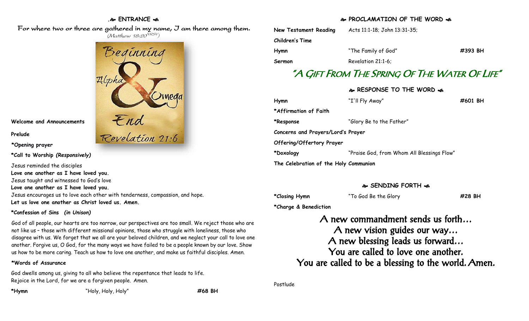## **. ENTRANCE**

 For where two or three are gathered in my name, I am there among them. (Matthew 18:20<sup>NRSV</sup>)



**Welcome and Announcements**

**Prelude**

**\*Opening prayer**

**\*Call to Worship** *(Responsively)*

Jesus reminded the disciples **Love one another as I have loved you.** Jesus taught and witnessed to God's love **Love one another as I have loved you.** Jesus encourages us to love each other with tenderness, compassion, and hope. **Let us love one another as Christ loved us. Amen.**

# **\*Confession of Sins** *(in Unison)*

God of all people, our hearts are too narrow, our perspectives are too small. We reject those who are not like us – those with different missional opinions, those who struggle with loneliness, those who disagree with us. We forget that we all are your beloved children, and we neglect your call to love one another. Forgive us, O God, for the many ways we have failed to be a people known by our love. Show us how to be more caring. Teach us how to love one another, and make us faithful disciples. Amen.

# **\*Words of Assurance**

God dwells among us, giving to all who believe the repentance that leads to life. Rejoice in the Lord, for we are a forgiven people. Amen.

**\*Hymn** "Holy, Holy, Holy" **#68 BH**

# **PROCLAMATION OF THE WORD**

| New Testament Reading                      | Acts 11:1-18; John 13:31-35; |         |  |  |
|--------------------------------------------|------------------------------|---------|--|--|
| Children's Time                            |                              |         |  |  |
| Hymn                                       | "The Family of God"          | #393 BH |  |  |
| Sermon                                     | Revelation 21:1-6:           |         |  |  |
| "A GIFT FROM THE SPRING OF THE WATER OF LI |                              |         |  |  |
|                                            | � RESPONSE TO THE WORD �     |         |  |  |
| Hymn                                       | "I'll Fly Away"              | #601 BH |  |  |
| *Affirmation of Faith                      |                              |         |  |  |

# "A GIFT FROM THE SPRING OF THE WATER OF LIFE"

| Hymn                                  | "I'll Fly Away"                            | #601 BH |  |
|---------------------------------------|--------------------------------------------|---------|--|
| *Affirmation of Faith                 |                                            |         |  |
| *Response                             | "Glory Be to the Father"                   |         |  |
| Concerns and Prayers/Lord's Prayer    |                                            |         |  |
| Offering/Offertory Prayer             |                                            |         |  |
| *Doxology                             | "Praise God, from Whom All Blessings Flow" |         |  |
| The Celebration of the Holy Communion |                                            |         |  |

# **SENDING FORTH**

**\*Closing Hymn** "To God Be the Glory **#28 BH**

**\*Charge & Benediction**

A new commandment sends us forth… A new vision guides our way… A new blessing leads us forward… You are called to love one another. You are called to be a blessing to the world. Amen.

Postlude